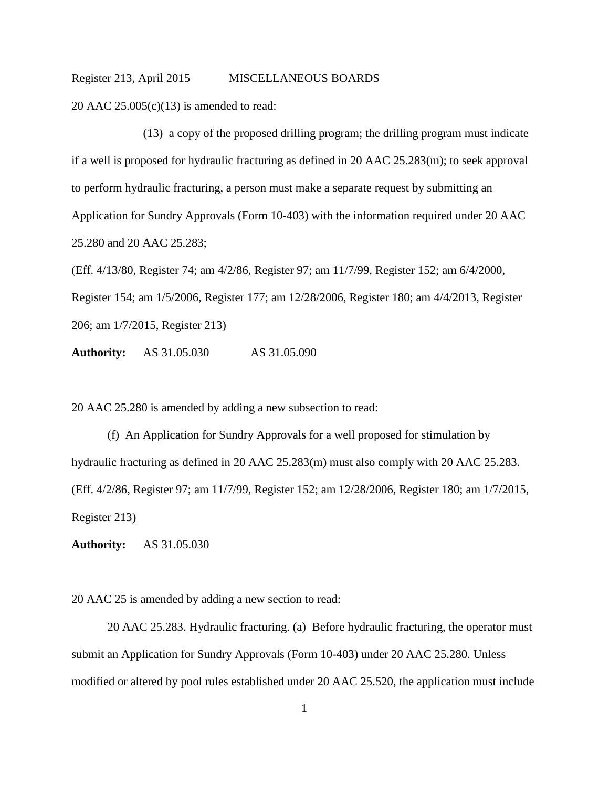20 AAC 25.005(c)(13) is amended to read:

(13) a copy of the proposed drilling program; the drilling program must indicate if a well is proposed for hydraulic fracturing as defined in 20 AAC 25.283(m); to seek approval to perform hydraulic fracturing, a person must make a separate request by submitting an Application for Sundry Approvals (Form 10-403) with the information required under 20 AAC 25.280 and 20 AAC 25.283;

(Eff. 4/13/80, Register 74; am 4/2/86, Register 97; am 11/7/99, Register 152; am 6/4/2000, Register 154; am 1/5/2006, Register 177; am 12/28/2006, Register 180; am 4/4/2013, Register 206; am 1/7/2015, Register 213)

**Authority:** AS 31.05.030 AS 31.05.090

20 AAC 25.280 is amended by adding a new subsection to read:

(f) An Application for Sundry Approvals for a well proposed for stimulation by hydraulic fracturing as defined in 20 AAC 25.283(m) must also comply with 20 AAC 25.283. (Eff. 4/2/86, Register 97; am 11/7/99, Register 152; am 12/28/2006, Register 180; am 1/7/2015, Register 213)

**Authority:** AS 31.05.030

20 AAC 25 is amended by adding a new section to read:

20 AAC 25.283. Hydraulic fracturing. (a) Before hydraulic fracturing, the operator must submit an Application for Sundry Approvals (Form 10-403) under 20 AAC 25.280. Unless modified or altered by pool rules established under 20 AAC 25.520, the application must include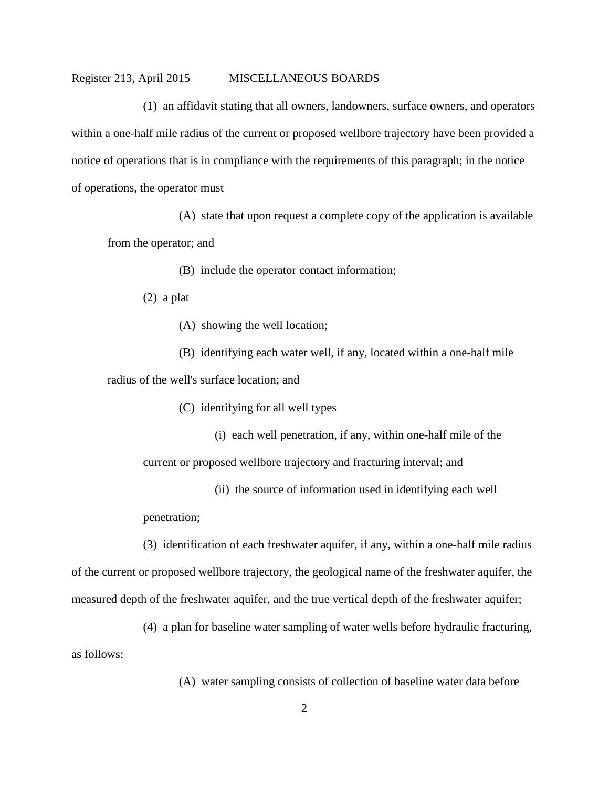(1) an affidavit stating that all owners, landowners, surface owners, and operators within a one-half mile radius of the current or proposed wellbore trajectory have been provided a notice of operations that is in compliance with the requirements of this paragraph; in the notice of operations, the operator must

(A) state that upon request a complete copy of the application is available from the operator; and

(B) include the operator contact information;

(2) a plat

(A) showing the well location;

(B) identifying each water well, if any, located within a one-half mile radius of the well's surface location; and

(C) identifying for all well types

(i) each well penetration, if any, within one-half mile of the

current or proposed wellbore trajectory and fracturing interval; and

(ii) the source of information used in identifying each well

penetration;

(3) identification of each freshwater aquifer, if any, within a one-half mile radius of the current or proposed wellbore trajectory, the geological name of the freshwater aquifer, the measured depth of the freshwater aquifer, and the true vertical depth of the freshwater aquifer;

(4) a plan for baseline water sampling of water wells before hydraulic fracturing, as follows:

(A) water sampling consists of collection of baseline water data before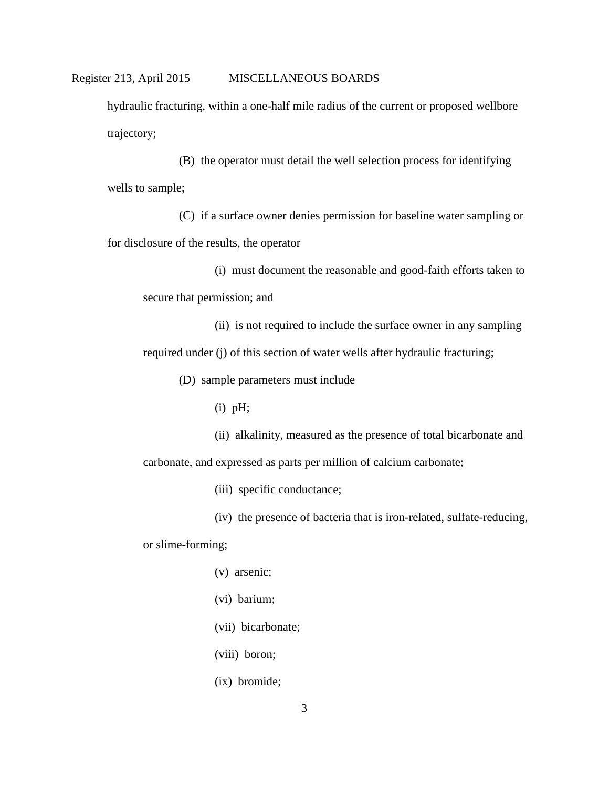hydraulic fracturing, within a one-half mile radius of the current or proposed wellbore trajectory;

(B) the operator must detail the well selection process for identifying wells to sample;

(C) if a surface owner denies permission for baseline water sampling or for disclosure of the results, the operator

(i) must document the reasonable and good-faith efforts taken to secure that permission; and

(ii) is not required to include the surface owner in any sampling required under (j) of this section of water wells after hydraulic fracturing;

(D) sample parameters must include

(i) pH;

(ii) alkalinity, measured as the presence of total bicarbonate and carbonate, and expressed as parts per million of calcium carbonate;

(iii) specific conductance;

(iv) the presence of bacteria that is iron-related, sulfate-reducing,

or slime-forming;

- (v) arsenic;
- (vi) barium;
- (vii) bicarbonate;
- (viii) boron;
- (ix) bromide;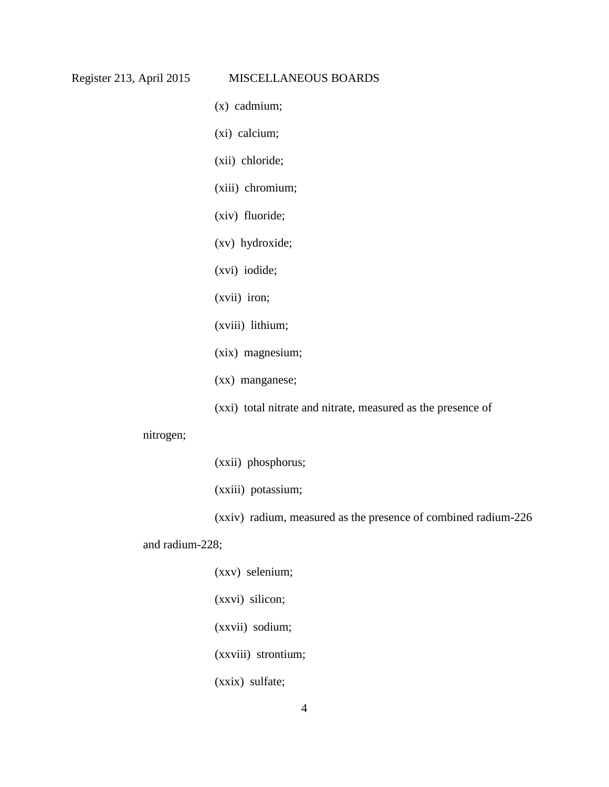- (x) cadmium;
- (xi) calcium;
- (xii) chloride;
- (xiii) chromium;
- (xiv) fluoride;
- (xv) hydroxide;
- (xvi) iodide;
- (xvii) iron;
- (xviii) lithium;
- (xix) magnesium;
- (xx) manganese;
- (xxi) total nitrate and nitrate, measured as the presence of

### nitrogen;

- (xxii) phosphorus;
- (xxiii) potassium;
- (xxiv) radium, measured as the presence of combined radium-226

## and radium-228;

- (xxv) selenium;
- (xxvi) silicon;
- (xxvii) sodium;
- (xxviii) strontium;
- (xxix) sulfate;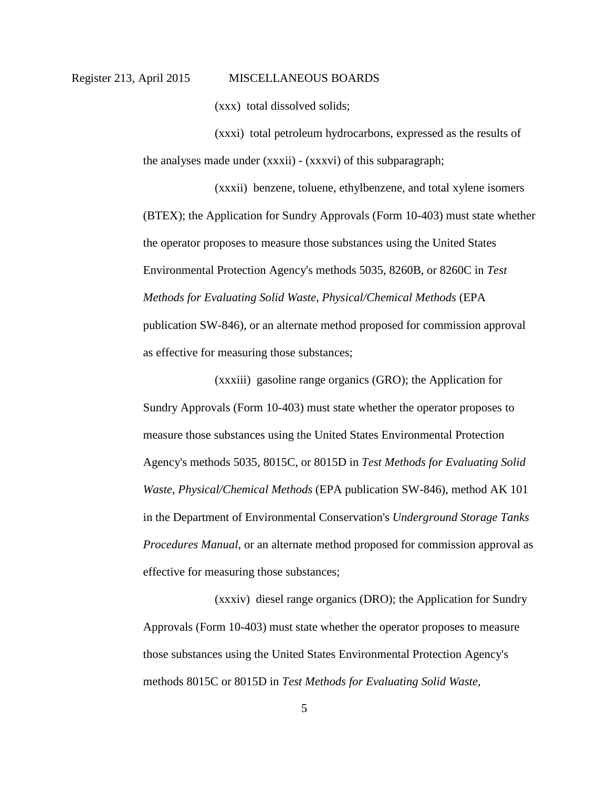(xxx) total dissolved solids;

(xxxi) total petroleum hydrocarbons, expressed as the results of the analyses made under (xxxii) - (xxxvi) of this subparagraph;

(xxxii) benzene, toluene, ethylbenzene, and total xylene isomers (BTEX); the Application for Sundry Approvals (Form 10-403) must state whether the operator proposes to measure those substances using the United States Environmental Protection Agency's methods 5035, 8260B, or 8260C in *Test Methods for Evaluating Solid Waste, Physical/Chemical Methods* (EPA publication SW-846), or an alternate method proposed for commission approval as effective for measuring those substances;

(xxxiii) gasoline range organics (GRO); the Application for Sundry Approvals (Form 10-403) must state whether the operator proposes to measure those substances using the United States Environmental Protection Agency's methods 5035, 8015C, or 8015D in *Test Methods for Evaluating Solid Waste, Physical/Chemical Methods* (EPA publication SW-846), method AK 101 in the Department of Environmental Conservation's *Underground Storage Tanks Procedures Manual*, or an alternate method proposed for commission approval as effective for measuring those substances;

(xxxiv) diesel range organics (DRO); the Application for Sundry Approvals (Form 10-403) must state whether the operator proposes to measure those substances using the United States Environmental Protection Agency's methods 8015C or 8015D in *Test Methods for Evaluating Solid Waste,*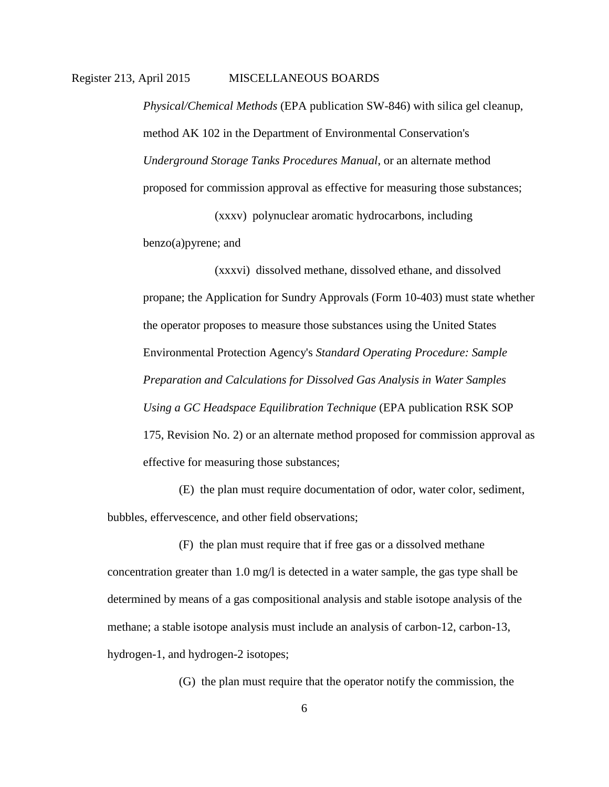*Physical/Chemical Methods* (EPA publication SW-846) with silica gel cleanup, method AK 102 in the Department of Environmental Conservation's *Underground Storage Tanks Procedures Manual*, or an alternate method proposed for commission approval as effective for measuring those substances;

(xxxv) polynuclear aromatic hydrocarbons, including benzo(a)pyrene; and

(xxxvi) dissolved methane, dissolved ethane, and dissolved propane; the Application for Sundry Approvals (Form 10-403) must state whether the operator proposes to measure those substances using the United States Environmental Protection Agency's *Standard Operating Procedure: Sample Preparation and Calculations for Dissolved Gas Analysis in Water Samples Using a GC Headspace Equilibration Technique* (EPA publication RSK SOP 175, Revision No. 2) or an alternate method proposed for commission approval as effective for measuring those substances;

(E) the plan must require documentation of odor, water color, sediment, bubbles, effervescence, and other field observations;

(F) the plan must require that if free gas or a dissolved methane concentration greater than 1.0 mg/l is detected in a water sample, the gas type shall be determined by means of a gas compositional analysis and stable isotope analysis of the methane; a stable isotope analysis must include an analysis of carbon-12, carbon-13, hydrogen-1, and hydrogen-2 isotopes;

(G) the plan must require that the operator notify the commission, the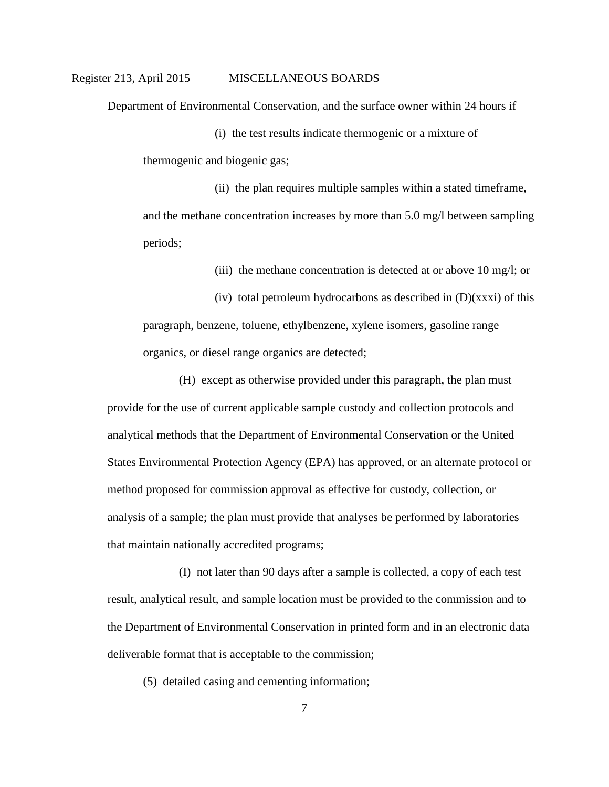Department of Environmental Conservation, and the surface owner within 24 hours if

(i) the test results indicate thermogenic or a mixture of thermogenic and biogenic gas;

(ii) the plan requires multiple samples within a stated timeframe, and the methane concentration increases by more than 5.0 mg/l between sampling periods;

(iii) the methane concentration is detected at or above 10 mg/l; or

(iv) total petroleum hydrocarbons as described in  $(D)(xxxi)$  of this paragraph, benzene, toluene, ethylbenzene, xylene isomers, gasoline range organics, or diesel range organics are detected;

(H) except as otherwise provided under this paragraph, the plan must provide for the use of current applicable sample custody and collection protocols and analytical methods that the Department of Environmental Conservation or the United States Environmental Protection Agency (EPA) has approved, or an alternate protocol or method proposed for commission approval as effective for custody, collection, or analysis of a sample; the plan must provide that analyses be performed by laboratories that maintain nationally accredited programs;

(I) not later than 90 days after a sample is collected, a copy of each test result, analytical result, and sample location must be provided to the commission and to the Department of Environmental Conservation in printed form and in an electronic data deliverable format that is acceptable to the commission;

(5) detailed casing and cementing information;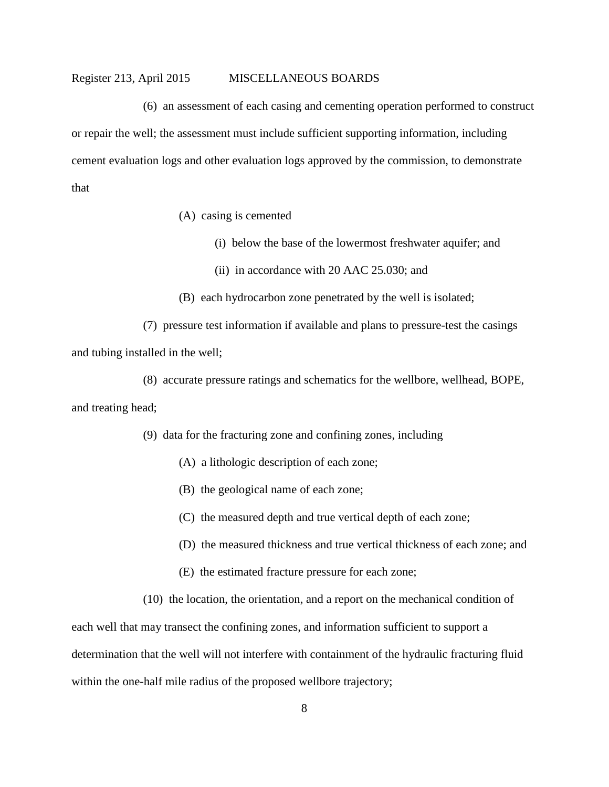(6) an assessment of each casing and cementing operation performed to construct or repair the well; the assessment must include sufficient supporting information, including cement evaluation logs and other evaluation logs approved by the commission, to demonstrate that

- (A) casing is cemented
	- (i) below the base of the lowermost freshwater aquifer; and
	- (ii) in accordance with 20 AAC 25.030; and
- (B) each hydrocarbon zone penetrated by the well is isolated;

(7) pressure test information if available and plans to pressure-test the casings and tubing installed in the well;

(8) accurate pressure ratings and schematics for the wellbore, wellhead, BOPE, and treating head;

(9) data for the fracturing zone and confining zones, including

- (A) a lithologic description of each zone;
- (B) the geological name of each zone;
- (C) the measured depth and true vertical depth of each zone;
- (D) the measured thickness and true vertical thickness of each zone; and
- (E) the estimated fracture pressure for each zone;
- (10) the location, the orientation, and a report on the mechanical condition of

each well that may transect the confining zones, and information sufficient to support a determination that the well will not interfere with containment of the hydraulic fracturing fluid within the one-half mile radius of the proposed wellbore trajectory;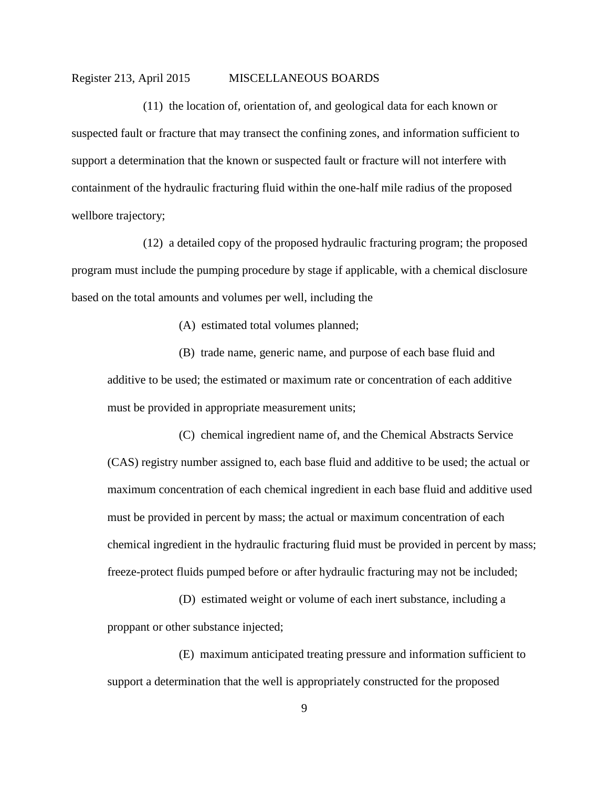(11) the location of, orientation of, and geological data for each known or suspected fault or fracture that may transect the confining zones, and information sufficient to support a determination that the known or suspected fault or fracture will not interfere with containment of the hydraulic fracturing fluid within the one-half mile radius of the proposed wellbore trajectory;

(12) a detailed copy of the proposed hydraulic fracturing program; the proposed program must include the pumping procedure by stage if applicable, with a chemical disclosure based on the total amounts and volumes per well, including the

(A) estimated total volumes planned;

(B) trade name, generic name, and purpose of each base fluid and additive to be used; the estimated or maximum rate or concentration of each additive must be provided in appropriate measurement units;

(C) chemical ingredient name of, and the Chemical Abstracts Service (CAS) registry number assigned to, each base fluid and additive to be used; the actual or maximum concentration of each chemical ingredient in each base fluid and additive used must be provided in percent by mass; the actual or maximum concentration of each chemical ingredient in the hydraulic fracturing fluid must be provided in percent by mass; freeze-protect fluids pumped before or after hydraulic fracturing may not be included;

(D) estimated weight or volume of each inert substance, including a proppant or other substance injected;

(E) maximum anticipated treating pressure and information sufficient to support a determination that the well is appropriately constructed for the proposed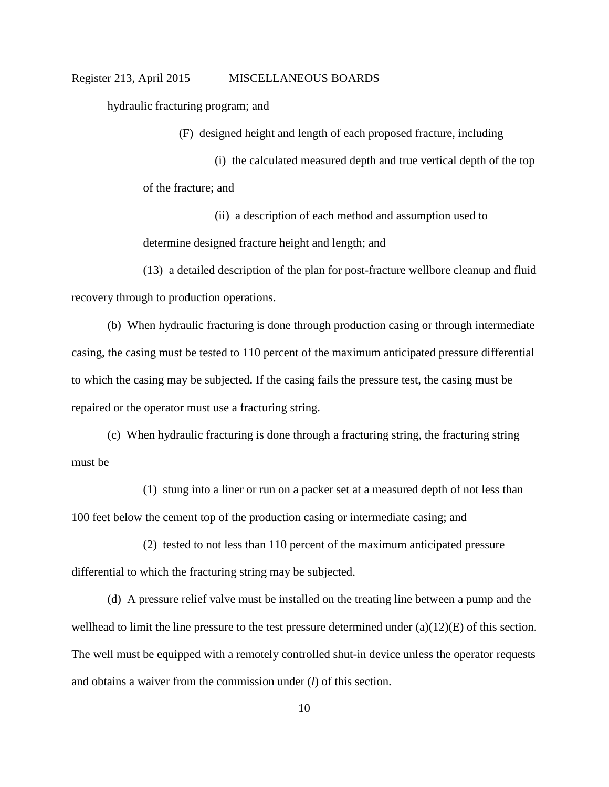hydraulic fracturing program; and

(F) designed height and length of each proposed fracture, including

(i) the calculated measured depth and true vertical depth of the top of the fracture; and

(ii) a description of each method and assumption used to determine designed fracture height and length; and

(13) a detailed description of the plan for post-fracture wellbore cleanup and fluid recovery through to production operations.

(b) When hydraulic fracturing is done through production casing or through intermediate casing, the casing must be tested to 110 percent of the maximum anticipated pressure differential to which the casing may be subjected. If the casing fails the pressure test, the casing must be repaired or the operator must use a fracturing string.

(c) When hydraulic fracturing is done through a fracturing string, the fracturing string must be

(1) stung into a liner or run on a packer set at a measured depth of not less than 100 feet below the cement top of the production casing or intermediate casing; and

(2) tested to not less than 110 percent of the maximum anticipated pressure differential to which the fracturing string may be subjected.

(d) A pressure relief valve must be installed on the treating line between a pump and the wellhead to limit the line pressure to the test pressure determined under  $(a)(12)(E)$  of this section. The well must be equipped with a remotely controlled shut-in device unless the operator requests and obtains a waiver from the commission under (*l*) of this section.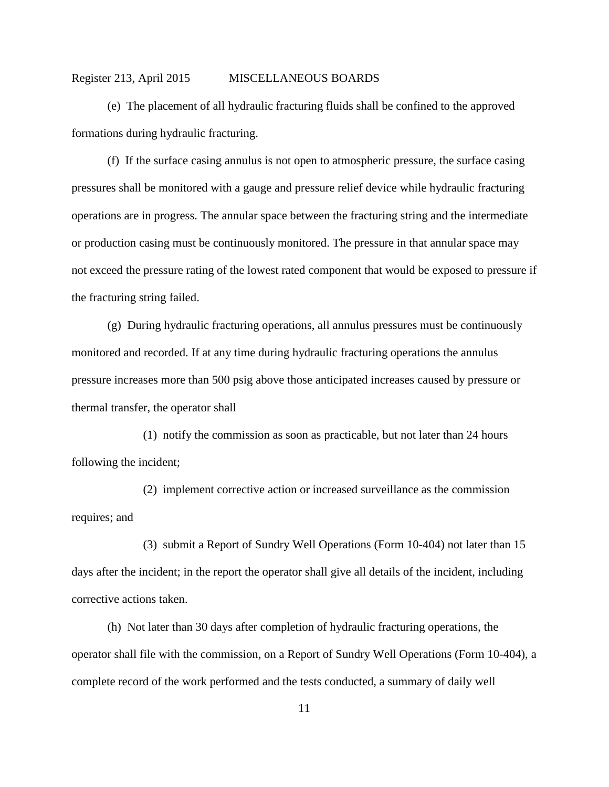(e) The placement of all hydraulic fracturing fluids shall be confined to the approved formations during hydraulic fracturing.

(f) If the surface casing annulus is not open to atmospheric pressure, the surface casing pressures shall be monitored with a gauge and pressure relief device while hydraulic fracturing operations are in progress. The annular space between the fracturing string and the intermediate or production casing must be continuously monitored. The pressure in that annular space may not exceed the pressure rating of the lowest rated component that would be exposed to pressure if the fracturing string failed.

(g) During hydraulic fracturing operations, all annulus pressures must be continuously monitored and recorded. If at any time during hydraulic fracturing operations the annulus pressure increases more than 500 psig above those anticipated increases caused by pressure or thermal transfer, the operator shall

(1) notify the commission as soon as practicable, but not later than 24 hours following the incident;

(2) implement corrective action or increased surveillance as the commission requires; and

(3) submit a Report of Sundry Well Operations (Form 10-404) not later than 15 days after the incident; in the report the operator shall give all details of the incident, including corrective actions taken.

(h) Not later than 30 days after completion of hydraulic fracturing operations, the operator shall file with the commission, on a Report of Sundry Well Operations (Form 10-404), a complete record of the work performed and the tests conducted, a summary of daily well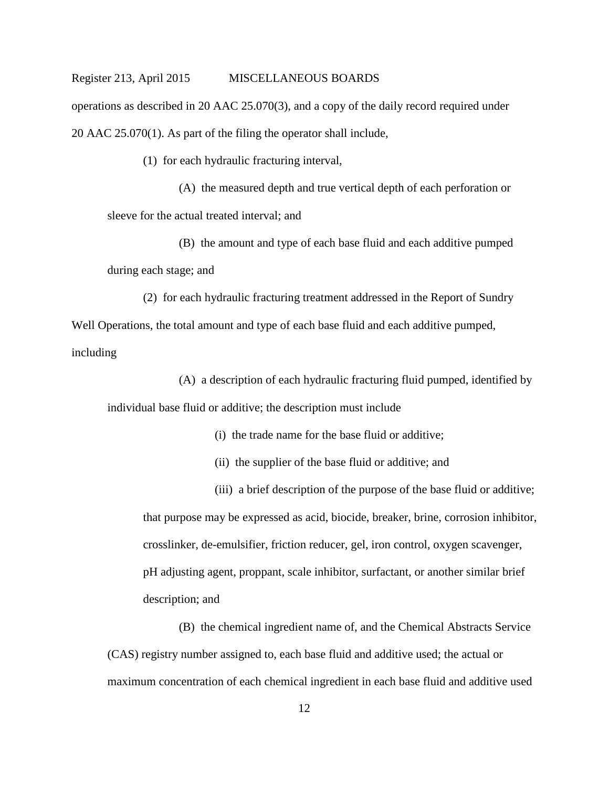operations as described in 20 AAC 25.070(3), and a copy of the daily record required under 20 AAC 25.070(1). As part of the filing the operator shall include,

(1) for each hydraulic fracturing interval,

(A) the measured depth and true vertical depth of each perforation or sleeve for the actual treated interval; and

(B) the amount and type of each base fluid and each additive pumped during each stage; and

(2) for each hydraulic fracturing treatment addressed in the Report of Sundry Well Operations, the total amount and type of each base fluid and each additive pumped, including

(A) a description of each hydraulic fracturing fluid pumped, identified by individual base fluid or additive; the description must include

- (i) the trade name for the base fluid or additive;
- (ii) the supplier of the base fluid or additive; and

(iii) a brief description of the purpose of the base fluid or additive; that purpose may be expressed as acid, biocide, breaker, brine, corrosion inhibitor, crosslinker, de-emulsifier, friction reducer, gel, iron control, oxygen scavenger, pH adjusting agent, proppant, scale inhibitor, surfactant, or another similar brief description; and

(B) the chemical ingredient name of, and the Chemical Abstracts Service (CAS) registry number assigned to, each base fluid and additive used; the actual or maximum concentration of each chemical ingredient in each base fluid and additive used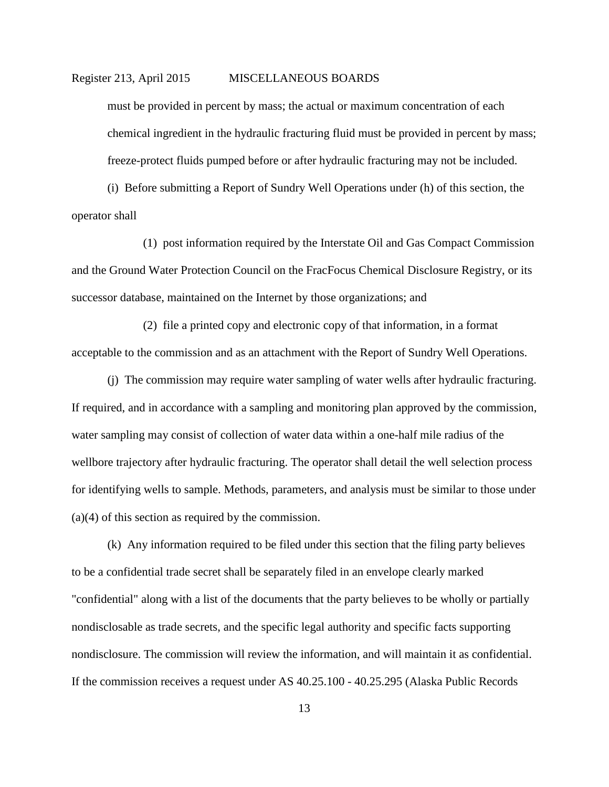must be provided in percent by mass; the actual or maximum concentration of each chemical ingredient in the hydraulic fracturing fluid must be provided in percent by mass; freeze-protect fluids pumped before or after hydraulic fracturing may not be included.

(i) Before submitting a Report of Sundry Well Operations under (h) of this section, the operator shall

(1) post information required by the Interstate Oil and Gas Compact Commission and the Ground Water Protection Council on the FracFocus Chemical Disclosure Registry, or its successor database, maintained on the Internet by those organizations; and

(2) file a printed copy and electronic copy of that information, in a format acceptable to the commission and as an attachment with the Report of Sundry Well Operations.

(j) The commission may require water sampling of water wells after hydraulic fracturing. If required, and in accordance with a sampling and monitoring plan approved by the commission, water sampling may consist of collection of water data within a one-half mile radius of the wellbore trajectory after hydraulic fracturing. The operator shall detail the well selection process for identifying wells to sample. Methods, parameters, and analysis must be similar to those under (a)(4) of this section as required by the commission.

(k) Any information required to be filed under this section that the filing party believes to be a confidential trade secret shall be separately filed in an envelope clearly marked "confidential" along with a list of the documents that the party believes to be wholly or partially nondisclosable as trade secrets, and the specific legal authority and specific facts supporting nondisclosure. The commission will review the information, and will maintain it as confidential. If the commission receives a request under AS 40.25.100 - 40.25.295 (Alaska Public Records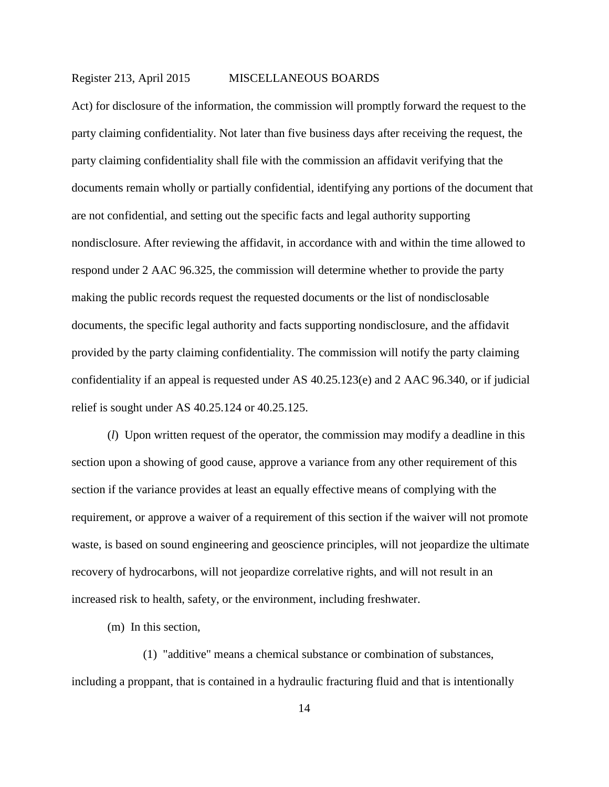Act) for disclosure of the information, the commission will promptly forward the request to the party claiming confidentiality. Not later than five business days after receiving the request, the party claiming confidentiality shall file with the commission an affidavit verifying that the documents remain wholly or partially confidential, identifying any portions of the document that are not confidential, and setting out the specific facts and legal authority supporting nondisclosure. After reviewing the affidavit, in accordance with and within the time allowed to respond under 2 AAC 96.325, the commission will determine whether to provide the party making the public records request the requested documents or the list of nondisclosable documents, the specific legal authority and facts supporting nondisclosure, and the affidavit provided by the party claiming confidentiality. The commission will notify the party claiming confidentiality if an appeal is requested under AS 40.25.123(e) and 2 AAC 96.340, or if judicial relief is sought under AS 40.25.124 or 40.25.125.

(*l*) Upon written request of the operator, the commission may modify a deadline in this section upon a showing of good cause, approve a variance from any other requirement of this section if the variance provides at least an equally effective means of complying with the requirement, or approve a waiver of a requirement of this section if the waiver will not promote waste, is based on sound engineering and geoscience principles, will not jeopardize the ultimate recovery of hydrocarbons, will not jeopardize correlative rights, and will not result in an increased risk to health, safety, or the environment, including freshwater.

(m) In this section,

(1) "additive" means a chemical substance or combination of substances, including a proppant, that is contained in a hydraulic fracturing fluid and that is intentionally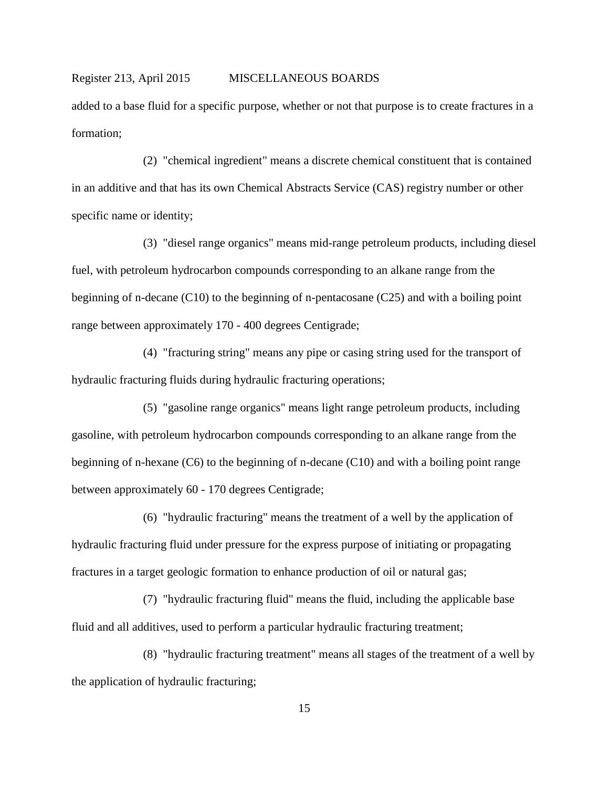added to a base fluid for a specific purpose, whether or not that purpose is to create fractures in a formation;

(2) "chemical ingredient" means a discrete chemical constituent that is contained in an additive and that has its own Chemical Abstracts Service (CAS) registry number or other specific name or identity;

(3) "diesel range organics" means mid-range petroleum products, including diesel fuel, with petroleum hydrocarbon compounds corresponding to an alkane range from the beginning of n-decane (C10) to the beginning of n-pentacosane (C25) and with a boiling point range between approximately 170 - 400 degrees Centigrade;

(4) "fracturing string" means any pipe or casing string used for the transport of hydraulic fracturing fluids during hydraulic fracturing operations;

(5) "gasoline range organics" means light range petroleum products, including gasoline, with petroleum hydrocarbon compounds corresponding to an alkane range from the beginning of n-hexane (C6) to the beginning of n-decane (C10) and with a boiling point range between approximately 60 - 170 degrees Centigrade;

(6) "hydraulic fracturing" means the treatment of a well by the application of hydraulic fracturing fluid under pressure for the express purpose of initiating or propagating fractures in a target geologic formation to enhance production of oil or natural gas;

(7) "hydraulic fracturing fluid" means the fluid, including the applicable base fluid and all additives, used to perform a particular hydraulic fracturing treatment;

(8) "hydraulic fracturing treatment" means all stages of the treatment of a well by the application of hydraulic fracturing;